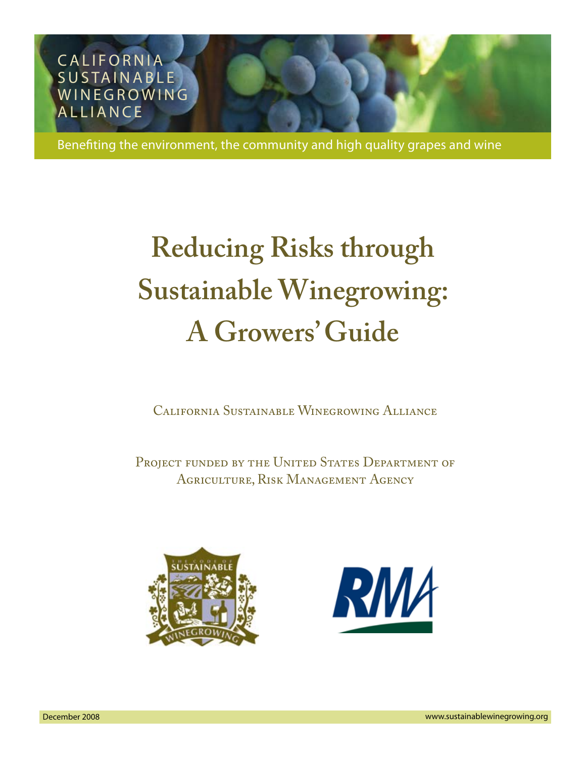

Benefiting the environment, the community and high quality grapes and wine

# **Reducing Risks through Sustainable Winegrowing: A Growers' Guide**

California Sustainable Winegrowing Alliance

PROJECT FUNDED BY THE UNITED STATES DEPARTMENT OF Agriculture, Risk Management Agency



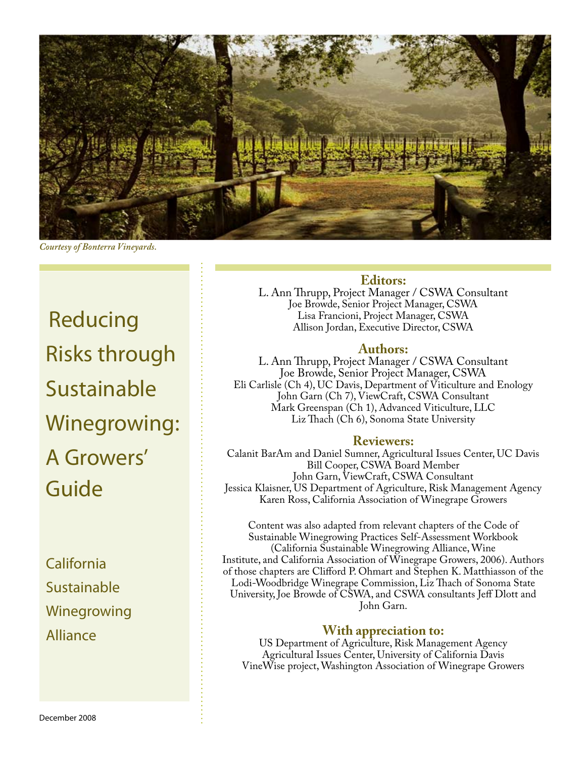

*Courtesy of Bonterra Vineyards.*

Reducing Risks through **Sustainable** Winegrowing: A Growers' Guide

California Sustainable Winegrowing Alliance

## **Editors:**

L. Ann Thrupp, Project Manager / CSWA Consultant Joe Browde, Senior Project Manager, CSWA Lisa Francioni, Project Manager, CSWA Allison Jordan, Executive Director, CSWA

#### **Authors:**

L. Ann Thrupp, Project Manager / CSWA Consultant Joe Browde, Senior Project Manager, CSWA Eli Carlisle (Ch 4), UC Davis, Department of Viticulture and Enology John Garn (Ch 7), ViewCraft, CSWA Consultant Mark Greenspan (Ch 1), Advanced Viticulture, LLC Liz Thach (Ch 6), Sonoma State University

#### **Reviewers:**

Calanit BarAm and Daniel Sumner, Agricultural Issues Center, UC Davis Bill Cooper, CSWA Board Member John Garn, ViewCraft, CSWA Consultant Jessica Klaisner, US Department of Agriculture, Risk Management Agency Karen Ross, California Association of Winegrape Growers

Content was also adapted from relevant chapters of the Code of Sustainable Winegrowing Practices Self-Assessment Workbook (California Sustainable Winegrowing Alliance, Wine Institute, and California Association of Winegrape Growers, 2006). Authors of those chapters are Clifford P. Ohmart and Stephen K. Matthiasson of the Lodi-Woodbridge Winegrape Commission, Liz Thach of Sonoma State University, Joe Browde of CSWA, and CSWA consultants Jeff Dlott and John Garn.

### **With appreciation to:**

US Department of Agriculture, Risk Management Agency Agricultural Issues Center, University of California Davis VineWise project, Washington Association of Winegrape Growers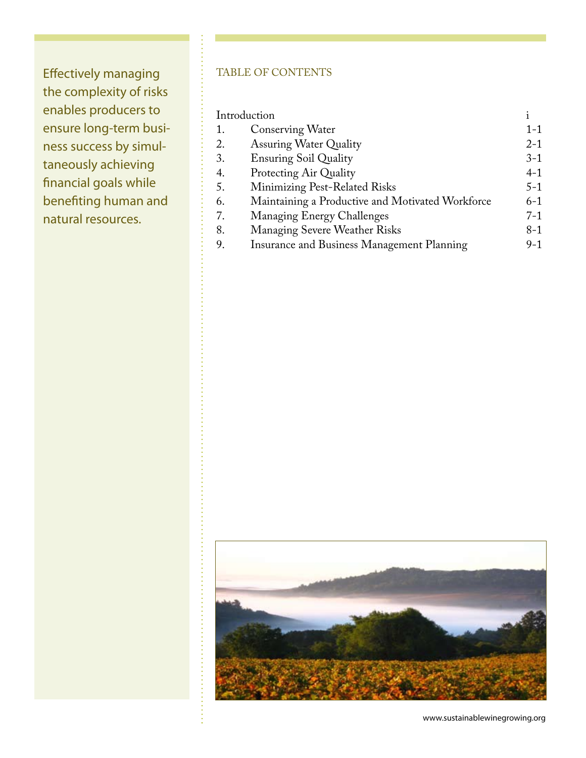Effectively managing the complexity of risks enables producers to ensure long-term business success by simultaneously achieving financial goals while benefiting human and natural resources.

## TABLE OF CONTENTS

| Introduction |                                                  |         |
|--------------|--------------------------------------------------|---------|
| 1.           | <b>Conserving Water</b>                          | $1 - 1$ |
| 2.           | <b>Assuring Water Quality</b>                    | $2 - 1$ |
| 3.           | <b>Ensuring Soil Quality</b>                     | $3-1$   |
| 4.           | Protecting Air Quality                           | $4 - 1$ |
| 5.           | Minimizing Pest-Related Risks                    | $5 - 1$ |
| 6.           | Maintaining a Productive and Motivated Workforce | $6 - 1$ |
| 7.           | Managing Energy Challenges                       | $7 - 1$ |
| 8.           | <b>Managing Severe Weather Risks</b>             | $8 - 1$ |
| 9.           | Insurance and Business Management Planning       | $9-1$   |
|              |                                                  |         |

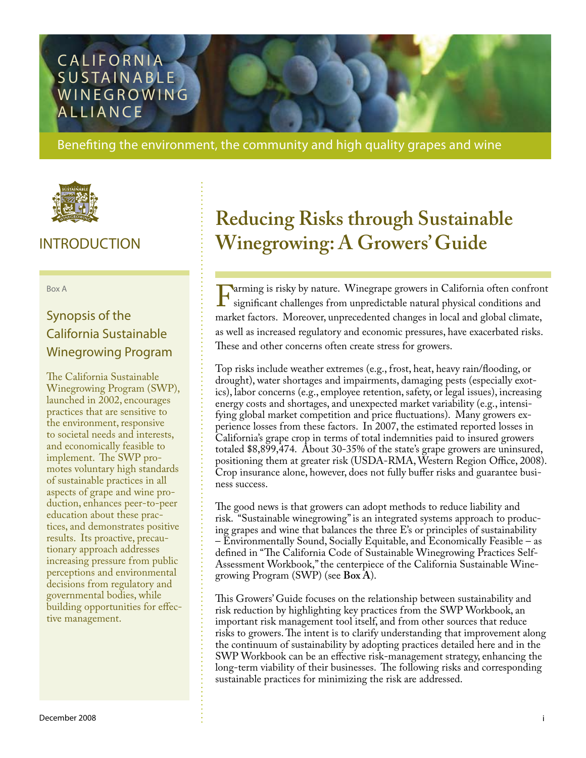## **CALIFORNIA** SUSTAINABLE **WINEGROWING ALLIANCE**

Benefiting the environment, the community and high quality grapes and wine



## INTRODUCTION

Box A

## Synopsis of the California Sustainable Winegrowing Program

The California Sustainable Winegrowing Program (SWP), launched in 2002, encourages practices that are sensitive to the environment, responsive to societal needs and interests, and economically feasible to implement. The SWP promotes voluntary high standards of sustainable practices in all aspects of grape and wine production, enhances peer-to-peer education about these practices, and demonstrates positive results. Its proactive, precautionary approach addresses increasing pressure from public perceptions and environmental decisions from regulatory and governmental bodies, while building opportunities for effective management.

## **Reducing Risks through Sustainable Winegrowing: A Growers' Guide**

Farming is risky by nature. Winegrape growers in California often confront<br>significant challenges from unpredictable natural physical conditions and<br>market factors. Moreover unprecedented changes in local and global climat significant challenges from unpredictable natural physical conditions and market factors. Moreover, unprecedented changes in local and global climate, as well as increased regulatory and economic pressures, have exacerbated risks. These and other concerns often create stress for growers.

Top risks include weather extremes (e.g., frost, heat, heavy rain/flooding, or drought), water shortages and impairments, damaging pests (especially exotics), labor concerns (e.g., employee retention, safety, or legal issues), increasing energy costs and shortages, and unexpected market variability (e.g., intensifying global market competition and price fluctuations). Many growers experience losses from these factors. In 2007, the estimated reported losses in California's grape crop in terms of total indemnities paid to insured growers totaled \$8,899,474. About 30-35% of the state's grape growers are uninsured, positioning them at greater risk (USDA-RMA, Western Region Office, 2008). Crop insurance alone, however, does not fully buffer risks and guarantee business success.

The good news is that growers can adopt methods to reduce liability and risk. "Sustainable winegrowing" is an integrated systems approach to producing grapes and wine that balances the three E's or principles of sustainability – Environmentally Sound, Socially Equitable, and Economically Feasible – as defined in "The California Code of Sustainable Winegrowing Practices Self-Assessment Workbook," the centerpiece of the California Sustainable Winegrowing Program (SWP) (see **Box A**).

This Growers' Guide focuses on the relationship between sustainability and risk reduction by highlighting key practices from the SWP Workbook, an important risk management tool itself, and from other sources that reduce risks to growers. The intent is to clarify understanding that improvement along the continuum of sustainability by adopting practices detailed here and in the SWP Workbook can be an effective risk-management strategy, enhancing the long-term viability of their businesses. The following risks and corresponding sustainable practices for minimizing the risk are addressed.